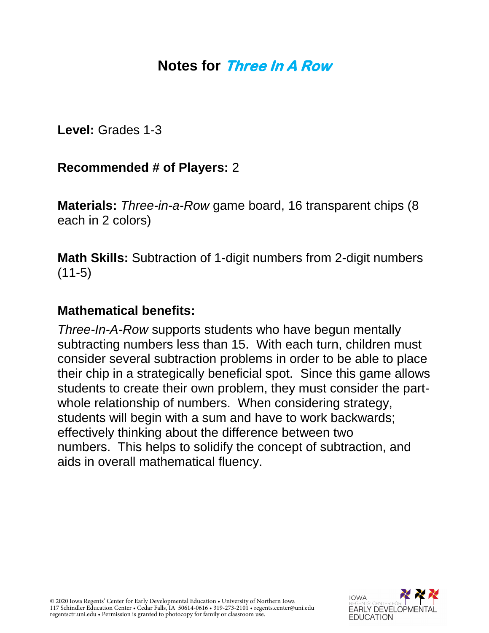## **Notes for Three In A Row**

**Level:** Grades 1-3

### **Recommended # of Players:** 2

**Materials:** *Three-in-a-Row* game board, 16 transparent chips (8 each in 2 colors)

**Math Skills:** Subtraction of 1-digit numbers from 2-digit numbers (11-5)

### **Mathematical benefits:**

*Three-In-A-Row* supports students who have begun mentally subtracting numbers less than 15. With each turn, children must consider several subtraction problems in order to be able to place their chip in a strategically beneficial spot. Since this game allows students to create their own problem, they must consider the partwhole relationship of numbers. When considering strategy, students will begin with a sum and have to work backwards; effectively thinking about the difference between two numbers. This helps to solidify the concept of subtraction, and aids in overall mathematical fluency.

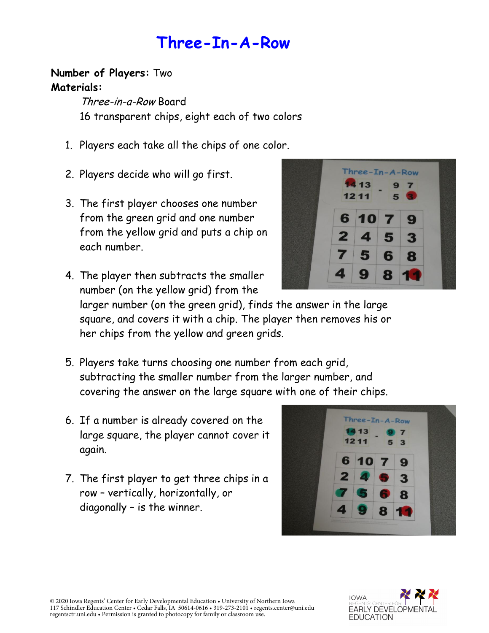**Three-In-A-Row**

#### **Number of Players:** Two **Materials:**

Three-in-a-Row Board 16 transparent chips, eight each of two colors

- 1. Players each take all the chips of one color.
- 2. Players decide who will go first.
- 3. The first player chooses one number from the green grid and one number from the yellow grid and puts a chip on each number.



4. The player then subtracts the smaller number (on the yellow grid) from the

larger number (on the green grid), finds the answer in the large square, and covers it with a chip. The player then removes his or her chips from the yellow and green grids.

- 5. Players take turns choosing one number from each grid, subtracting the smaller number from the larger number, and covering the answer on the large square with one of their chips.
- 6. If a number is already covered on the large square, the player cannot cover it again.
- 7. The first player to get three chips in a row – vertically, horizontally, or diagonally – is the winner.





© 2020 Iowa Regents' Center for Early Developmental Education • University of Northern Iowa 117 Schindler Education Center • Cedar Falls, IA 50614-0616 • 319-273-2101 • regents.center@uni.edu regentsctr.uni.edu • Permission is granted to photocopy for family or classroom use.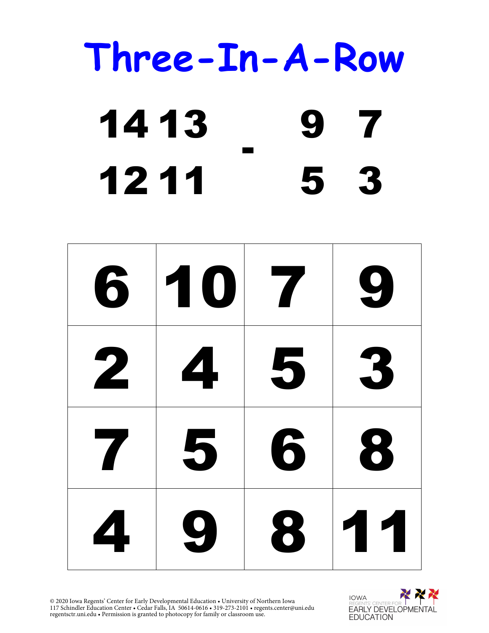# **Three-In-A-Row** 14 13 - 9 7 12 11 5 3

| 6            | 107                     |   | 9   |
|--------------|-------------------------|---|-----|
| $\mathbf{2}$ | $\overline{\mathbf{4}}$ | 5 | 3   |
| 7            | 5                       | 6 | 8   |
| 4            | 9                       | 8 | 111 |

© 2020 Iowa Regents' Center for Early Developmental Education • University of Northern Iowa 117 Schindler Education Center • Cedar Falls, IA 50614-0616 • 319-273-2101 • regents.center@uni.edu regentsctr.uni.edu • Permission is granted to photocopy for family or classroom use.